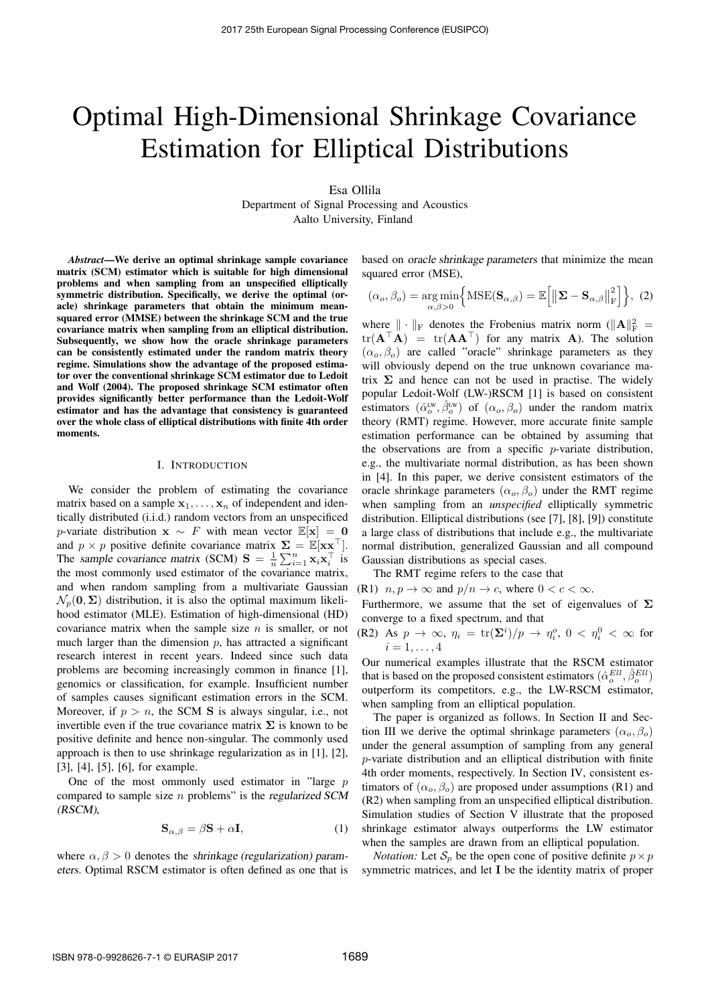# Optimal High-Dimensional Shrinkage Covariance Estimation for Elliptical Distributions

Esa Ollila Department of Signal Processing and Acoustics

Aalto University, Finland

*Abstract*—We derive an optimal shrinkage sample covariance matrix (SCM) estimator which is suitable for high dimensional problems and when sampling from an unspecified elliptically symmetric distribution. Specifically, we derive the optimal (oracle) shrinkage parameters that obtain the minimum meansquared error (MMSE) between the shrinkage SCM and the true covariance matrix when sampling from an elliptical distribution. Subsequently, we show how the oracle shrinkage parameters can be consistently estimated under the random matrix theory regime. Simulations show the advantage of the proposed estimator over the conventional shrinkage SCM estimator due to Ledoit and Wolf (2004). The proposed shrinkage SCM estimator often provides significantly better performance than the Ledoit-Wolf estimator and has the advantage that consistency is guaranteed over the whole class of elliptical distributions with finite 4th order moments.

#### I. INTRODUCTION

We consider the problem of estimating the covariance matrix based on a sample  $x_1, \ldots, x_n$  of independent and identically distributed (i.i.d.) random vectors from an unspecificed *p*-variate distribution  $x \sim F$  with mean vector  $\mathbb{E}[x] = 0$ and  $p \times p$  positive definite covariance matrix  $\Sigma = \mathbb{E}[\mathbf{x} \mathbf{x}^{\top}]$ . The *sample covariance matrix (SCM)*  $S = \frac{1}{n} \sum_{i=1}^{n} x_i x_i^{\top}$  is the most commonly used estimator of the covariance matrix, and when random sampling from a multivariate Gaussian  $\mathcal{N}_p(\mathbf{0}, \Sigma)$  distribution, it is also the optimal maximum likelihood estimator (MLE). Estimation of high-dimensional (HD) covariance matrix when the sample size *n* is smaller, or not much larger than the dimension *p*, has attracted a significant research interest in recent years. Indeed since such data problems are becoming increasingly common in finance [1], genomics or classification, for example. Insufficient number of samples causes significant estimation errors in the SCM. Moreover, if  $p > n$ , the SCM S is always singular, i.e., not invertible even if the true covariance matrix  $\Sigma$  is known to be positive definite and hence non-singular. The commonly used approach is then to use shrinkage regularization as in [1], [2], [3], [4], [5], [6], for example.

One of the most ommonly used estimator in "large *p* compared to sample size *n* problems" is the *regularized SCM (RSCM)*,

$$
\mathbf{S}_{\alpha,\beta} = \beta \mathbf{S} + \alpha \mathbf{I},\tag{1}
$$

where  $\alpha, \beta > 0$  denotes the *shrinkage* (regularization) param*eters*. Optimal RSCM estimator is often defined as one that is based on *oracle shrinkage parameters* that minimize the mean squared error (MSE),

$$
(\alpha_o, \beta_o) = \underset{\alpha, \beta > 0}{\arg \min} \Big\{ \text{MSE}(\mathbf{S}_{\alpha, \beta}) = \mathbb{E} \Big[ \big\| \mathbf{\Sigma} - \mathbf{S}_{\alpha, \beta} \big\|_{\text{F}}^2 \Big] \Big\}, \tag{2}
$$

where  $\|\cdot\|_{\text{F}}$  denotes the Frobenius matrix norm ( $\|\mathbf{A}\|_{\text{F}}^2$  =  $tr(A^{\top}A) = tr(AA^{\top})$  for any matrix A). The solution  $(\alpha_o, \beta_o)$  are called "oracle" shrinkage parameters as they will obviously depend on the true unknown covariance matrix  $\Sigma$  and hence can not be used in practise. The widely popular Ledoit-Wolf (LW-)RSCM [1] is based on consistent estimators  $(\hat{\alpha}_o^{\text{LW}}, \hat{\beta}_o^{\text{LW}})$  of  $(\alpha_o, \beta_o)$  under the random matrix theory (RMT) regime. However, more accurate finite sample estimation performance can be obtained by assuming that the observations are from a specific *p*-variate distribution, e.g., the multivariate normal distribution, as has been shown in [4]. In this paper, we derive consistent estimators of the oracle shrinkage parameters  $(\alpha_o, \beta_o)$  under the RMT regime when sampling from an *unspecified* elliptically symmetric distribution. Elliptical distributions (see [7], [8], [9]) constitute a large class of distributions that include e.g., the multivariate normal distribution, generalized Gaussian and all compound Gaussian distributions as special cases.

The RMT regime refers to the case that

(R1)  $n, p \rightarrow \infty$  and  $p/n \rightarrow c$ , where  $0 < c < \infty$ .

Furthermore, we assume that the set of eigenvalues of  $\Sigma$ converge to a fixed spectrum, and that

(R2) As  $p \to \infty$ ,  $\eta_i = \text{tr}(\Sigma^i)/p \to \eta_i^o$ ,  $0 < \eta_i^0 < \infty$  for  $i = 1, \ldots, 4$ 

Our numerical examples illustrate that the RSCM estimator that is based on the proposed consistent estimators  $(\hat{\alpha}_o^{Ell}, \hat{\beta}_o^{Ell})$ outperform its competitors, e.g., the LW-RSCM estimator, when sampling from an elliptical population.

The paper is organized as follows. In Section II and Section III we derive the optimal shrinkage parameters  $(\alpha_{o}, \beta_{o})$ under the general assumption of sampling from any general *p*-variate distribution and an elliptical distribution with finite 4th order moments, respectively. In Section IV, consistent estimators of  $(\alpha_o, \beta_o)$  are proposed under assumptions (R1) and (R2) when sampling from an unspecified elliptical distribution. Simulation studies of Section V illustrate that the proposed shrinkage estimator always outperforms the LW estimator when the samples are drawn from an elliptical population.

*Notation:* Let  $S_p$  be the open cone of positive definite  $p \times p$ symmetric matrices, and let I be the identity matrix of proper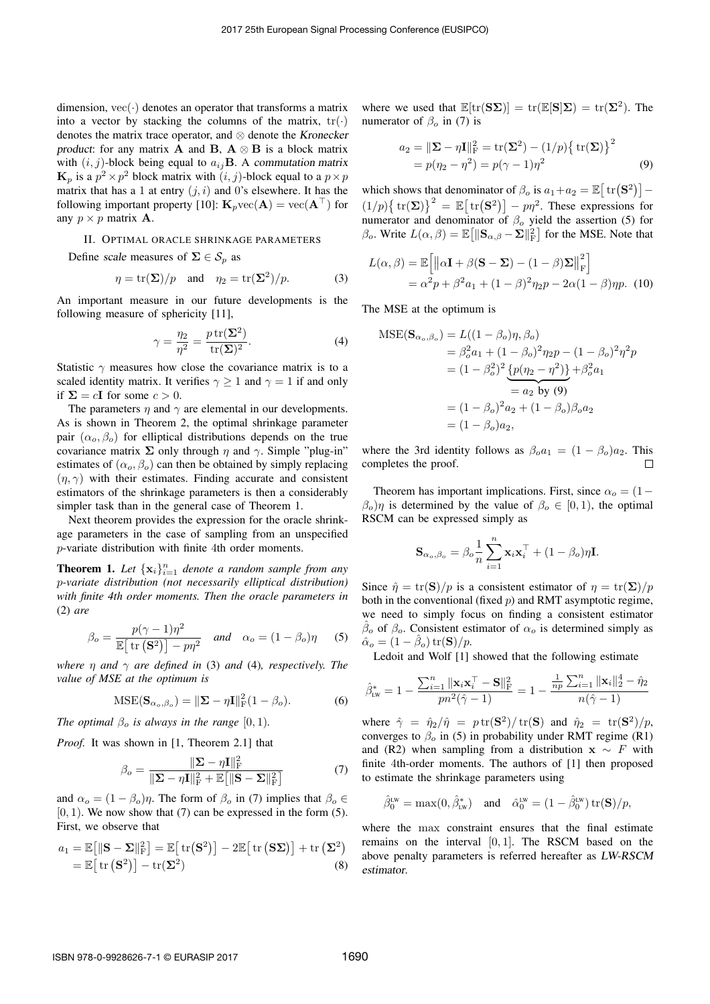dimension,  $vec(\cdot)$  denotes an operator that transforms a matrix into a vector by stacking the columns of the matrix,  $tr(\cdot)$ denotes the matrix trace operator, and ⌦ denote the *Kronecker product*: for any matrix **A** and **B**,  $A \otimes B$  is a block matrix with  $(i, j)$ -block being equal to  $a_{ij}$ B. A *commutation matrix*  $\mathbf{K}_p$  is a  $p^2 \times p^2$  block matrix with  $(i, j)$ -block equal to a  $p \times p$ matrix that has a 1 at entry  $(i, i)$  and 0's elsewhere. It has the following important property [10]:  $\mathbf{K}_p$  vec( $\mathbf{A}$ ) = vec( $\mathbf{A}^\top$ ) for any  $p \times p$  matrix **A**.

# II. OPTIMAL ORACLE SHRINKAGE PARAMETERS

Define *scale* measures of  $\Sigma \in S_n$  as

$$
\eta = \text{tr}(\Sigma)/p
$$
 and  $\eta_2 = \text{tr}(\Sigma^2)/p$ . (3)

An important measure in our future developments is the following measure of sphericity [11],

$$
\gamma = \frac{\eta_2}{\eta^2} = \frac{p \operatorname{tr}(\Sigma^2)}{\operatorname{tr}(\Sigma)^2}.
$$
 (4)

Statistic  $\gamma$  measures how close the covariance matrix is to a scaled identity matrix. It verifies  $\gamma \geq 1$  and  $\gamma = 1$  if and only if  $\Sigma = cI$  for some  $c > 0$ .

The parameters  $\eta$  and  $\gamma$  are elemental in our developments. As is shown in Theorem 2, the optimal shrinkage parameter pair  $(\alpha_o, \beta_o)$  for elliptical distributions depends on the true covariance matrix  $\Sigma$  only through  $\eta$  and  $\gamma$ . Simple "plug-in" estimates of  $(\alpha_{\alpha}, \beta_{\alpha})$  can then be obtained by simply replacing  $(n, \gamma)$  with their estimates. Finding accurate and consistent estimators of the shrinkage parameters is then a considerably simpler task than in the general case of Theorem 1.

Next theorem provides the expression for the oracle shrinkage parameters in the case of sampling from an unspecified *p*-variate distribution with finite 4th order moments.

**Theorem 1.** Let  $\{x_i\}_{i=1}^n$  denote a random sample from any *p-variate distribution (not necessarily elliptical distribution) with finite 4th order moments. Then the oracle parameters in* (2) *are*

$$
\beta_o = \frac{p(\gamma - 1)\eta^2}{\mathbb{E}\left[\text{tr}\left(\mathbf{S}^2\right)\right] - p\eta^2} \quad \text{and} \quad \alpha_o = (1 - \beta_o)\eta \tag{5}
$$

*where*  $\eta$  *and*  $\gamma$  *are defined in* (3) *and* (4)*, respectively. The value of MSE at the optimum is*

$$
\text{MSE}(\mathbf{S}_{\alpha_o,\beta_o}) = \|\mathbf{\Sigma} - \eta \mathbf{I}\|_{\text{F}}^2 (1 - \beta_o). \tag{6}
$$

*The optimal*  $\beta_o$  *is always in the range* [0, 1)*.* 

*Proof.* It was shown in [1, Theorem 2.1] that

$$
\beta_o = \frac{\|\Sigma - \eta \mathbf{I}\|_{\text{F}}^2}{\|\Sigma - \eta \mathbf{I}\|_{\text{F}}^2 + \mathbb{E}\big[\|\mathbf{S} - \Sigma\|_{\text{F}}^2\big]}
$$
(7)

and  $\alpha_o = (1 - \beta_o)\eta$ . The form of  $\beta_o$  in (7) implies that  $\beta_o \in$  $[0, 1)$ . We now show that  $(7)$  can be expressed in the form  $(5)$ . First, we observe that

$$
a_1 = \mathbb{E}[||\mathbf{S} - \mathbf{\Sigma}||_{\mathrm{F}}^2] = \mathbb{E}[\mathrm{tr}(\mathbf{S}^2)] - 2\mathbb{E}[\mathrm{tr}(\mathbf{S}\mathbf{\Sigma})] + \mathrm{tr}(\mathbf{\Sigma}^2)
$$
  
=  $\mathbb{E}[\mathrm{tr}(\mathbf{S}^2)] - \mathrm{tr}(\mathbf{\Sigma}^2)$  (8)

where we used that  $\mathbb{E}[\text{tr}(\mathbf{S}\Sigma)] = \text{tr}(\mathbb{E}[\mathbf{S}]\Sigma) = \text{tr}(\Sigma^2)$ . The numerator of  $\beta_o$  in (7) is

$$
a_2 = ||\mathbf{\Sigma} - \eta \mathbf{I}||_{\text{F}}^2 = \text{tr}(\mathbf{\Sigma}^2) - (1/p) {\{\text{tr}(\mathbf{\Sigma})\}}^2 = p(\eta_2 - \eta^2) = p(\gamma - 1)\eta^2
$$
 (9)

which shows that denominator of  $\beta_o$  is  $a_1 + a_2 = \mathbb{E} \left[ \text{tr} (\mathbf{S}^2) \right] (1/p)\{tr(\mathbf{\Sigma})\}^2 = \mathbb{E}[tr(\mathbf{S}^2)] - p\eta^2$ . These expressions for numerator and denominator of  $\beta_o$  yield the assertion (5) for  $\beta_o$ . Write  $L(\alpha, \beta) = \mathbb{E} \left[ \|\mathbf{S}_{\alpha, \beta} - \Sigma\|_{\text{F}}^2 \right]$  for the MSE. Note that

$$
L(\alpha, \beta) = \mathbb{E}\left[\left\|\alpha \mathbf{I} + \beta(\mathbf{S} - \mathbf{\Sigma}) - (1 - \beta)\mathbf{\Sigma}\right\|_{\mathrm{F}}^2\right]
$$
  
=  $\alpha^2 p + \beta^2 a_1 + (1 - \beta)^2 \eta_2 p - 2\alpha (1 - \beta) \eta p$ . (10)

The MSE at the optimum is

$$
MSE(S_{\alpha_o, \beta_o}) = L((1 - \beta_o)\eta, \beta_o)
$$
  
=  $\beta_o^2 a_1 + (1 - \beta_o)^2 \eta_2 p - (1 - \beta_o)^2 \eta^2 p$   
=  $(1 - \beta_o^2)^2 \underbrace{\{p(\eta_2 - \eta^2)\}}_{= a_2 \text{ by (9)}} + \beta_o^2 a_1$   
=  $(1 - \beta_o)^2 a_2 + (1 - \beta_o) \beta_o a_2$   
=  $(1 - \beta_o) a_2$ ,

where the 3rd identity follows as  $\beta_0 a_1 = (1 - \beta_0) a_2$ . This completes the proof. completes the proof.

Theorem has important implications. First, since  $\alpha_o = (1 \beta_o$ ) $\eta$  is determined by the value of  $\beta_o \in [0, 1)$ , the optimal RSCM can be expressed simply as

$$
\mathbf{S}_{\alpha_o,\beta_o} = \beta_o \frac{1}{n}\sum_{i=1}^n \mathbf{x}_i \mathbf{x}_i^\top + (1-\beta_o)\eta \mathbf{I}.
$$

Since  $\hat{\eta} = \text{tr}(\mathbf{S})/p$  is a consistent estimator of  $\eta = \text{tr}(\mathbf{\Sigma})/p$ both in the conventional (fixed *p*) and RMT asymptotic regime, we need to simply focus on finding a consistent estimator  $\beta$ <sub>o</sub> of  $\beta$ <sub>o</sub>. Consistent estimator of  $\alpha$ <sub>o</sub> is determined simply as  $\hat{\alpha}_o = (1 - \hat{\beta}_o) \operatorname{tr}(\mathbf{S})/p.$ 

Ledoit and Wolf [1] showed that the following estimate

$$
\hat{\beta}_{\text{Lw}}^* = 1 - \frac{\sum_{i=1}^n \|\mathbf{x}_i \mathbf{x}_i^{\top} - \mathbf{S}\|_{\text{F}}^2}{pn^2(\hat{\gamma} - 1)} = 1 - \frac{\frac{1}{np} \sum_{i=1}^n \|\mathbf{x}_i\|_2^4 - \hat{\eta}_2}{n(\hat{\gamma} - 1)}
$$

where  $\hat{\gamma} = \hat{\eta}_2/\hat{\eta} = p \text{ tr}(\mathbf{S}^2)/\text{ tr}(\mathbf{S})$  and  $\hat{\eta}_2 = \text{ tr}(\mathbf{S}^2)/p$ , converges to  $\beta_o$  in (5) in probability under RMT regime (R1) and (R2) when sampling from a distribution  $x \sim F$  with finite 4th-order moments. The authors of [1] then proposed to estimate the shrinkage parameters using

$$
\hat{\beta}_0^{\text{Lw}} = \max(0, \hat{\beta}_{\text{Lw}}^*) \quad \text{and} \quad \hat{\alpha}_0^{\text{Lw}} = (1 - \hat{\beta}_0^{\text{Lw}}) \operatorname{tr}(\mathbf{S})/p,
$$

where the max constraint ensures that the final estimate remains on the interval [0*,* 1]. The RSCM based on the above penalty parameters is referred hereafter as *LW-RSCM estimator*.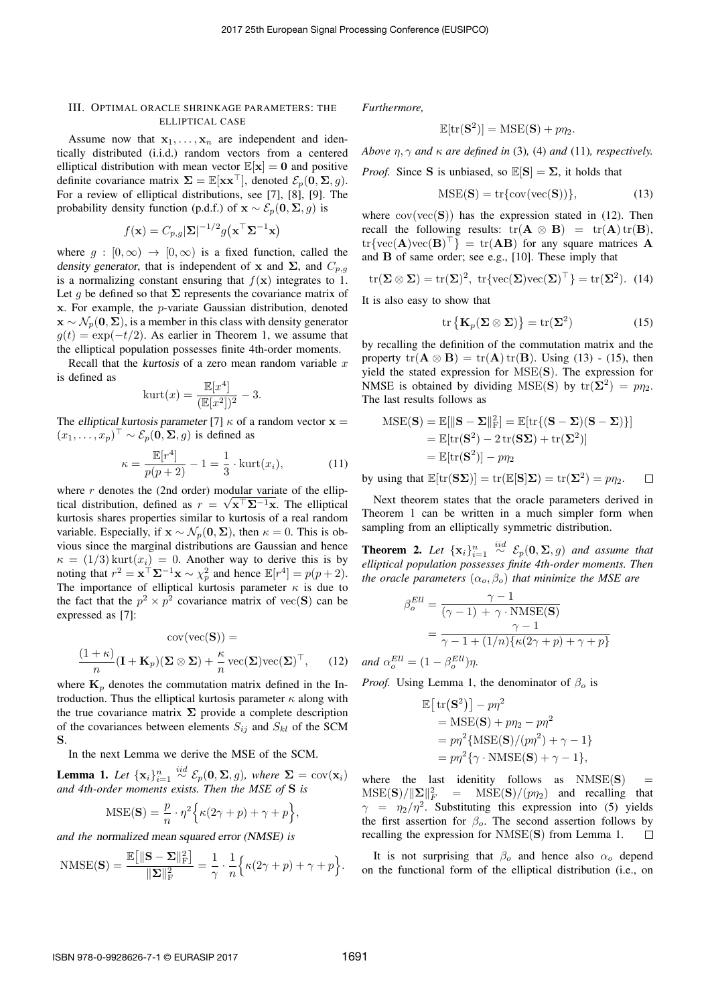## III. OPTIMAL ORACLE SHRINKAGE PARAMETERS: THE ELLIPTICAL CASE

Assume now that  $x_1, \ldots, x_n$  are independent and identically distributed (i.i.d.) random vectors from a centered elliptical distribution with mean vector  $\mathbb{E}[\mathbf{x}] = \mathbf{0}$  and positive definite covariance matrix  $\Sigma = \mathbb{E}[\mathbf{x} \mathbf{x}^{\top}]$ , denoted  $\mathcal{E}_p(\mathbf{0}, \Sigma, g)$ . For a review of elliptical distributions, see [7], [8], [9]. The probability density function (p.d.f.) of  $\mathbf{x} \sim \mathcal{E}_p(\mathbf{0}, \mathbf{\Sigma}, g)$  is

$$
f(\mathbf{x}) = C_{p,g} |\mathbf{\Sigma}|^{-1/2} g(\mathbf{x}^\top \mathbf{\Sigma}^{-1} \mathbf{x})
$$

where  $g : [0, \infty) \rightarrow [0, \infty)$  is a fixed function, called the *density generator, that is independent of* x and  $\Sigma$ , and  $C_{p,q}$ is a normalizing constant ensuring that  $f(\mathbf{x})$  integrates to 1. Let *g* be defined so that  $\Sigma$  represents the covariance matrix of x. For example, the *p*-variate Gaussian distribution, denoted  $\mathbf{x} \sim \mathcal{N}_p(\mathbf{0}, \boldsymbol{\Sigma})$ , is a member in this class with density generator  $g(t) = \exp(-t/2)$ . As earlier in Theorem 1, we assume that the elliptical population possesses finite 4th-order moments.

Recall that the *kurtosis* of a zero mean random variable *x* is defined as

$$
kurt(x) = \frac{\mathbb{E}[x^4]}{(\mathbb{E}[x^2])^2} - 3.
$$

The *elliptical kurtosis parameter* [7]  $\kappa$  of a random vector  $x =$  $(x_1, \ldots, x_p)^\top \sim \mathcal{E}_p(\mathbf{0}, \mathbf{\Sigma}, g)$  is defined as

$$
\kappa = \frac{\mathbb{E}[r^4]}{p(p+2)} - 1 = \frac{1}{3} \cdot \text{kurt}(x_i),\tag{11}
$$

where  $r$  denotes the (2nd order) modular variate of the elliptical distribution, defined as  $r = \sqrt{x^T \Sigma^{-1} x}$ . The elliptical kurtosis shares properties similar to kurtosis of a real random variable. Especially, if  $\mathbf{x} \sim \mathcal{N}_p(\mathbf{0}, \boldsymbol{\Sigma})$ , then  $\kappa = 0$ . This is obvious since the marginal distributions are Gaussian and hence  $\kappa = (1/3)$  kurt $(x_i) = 0$ . Another way to derive this is by noting that  $r^2 = \mathbf{x}^\top \mathbf{\Sigma}^{-1} \mathbf{x} \sim \chi_p^2$  and hence  $\mathbb{E}[r^4] = p(p+2)$ . The importance of elliptical kurtosis parameter  $\kappa$  is due to the fact that the  $p^2 \times p^2$  covariance matrix of vec(S) can be expressed as [7]:

$$
cov(vec(\mathbf{S})) =
$$

$$
\frac{(1+\kappa)}{n}(\mathbf{I} + \mathbf{K}_p)(\mathbf{\Sigma} \otimes \mathbf{\Sigma}) + \frac{\kappa}{n}vec(\mathbf{\Sigma})vec(\mathbf{\Sigma})^\top, \qquad (12)
$$

where  $\mathbf{K}_p$  denotes the commutation matrix defined in the Introduction. Thus the elliptical kurtosis parameter  $\kappa$  along with the true covariance matrix  $\Sigma$  provide a complete description of the covariances between elements  $S_{ij}$  and  $S_{kl}$  of the SCM S.

In the next Lemma we derive the MSE of the SCM.

**Lemma 1.** Let  $\{x_i\}_{i=1}^n$  $\int_{0}^{iid} \mathcal{E}_p(\mathbf{0}, \mathbf{\Sigma}, g)$ *, where*  $\mathbf{\Sigma} = \text{cov}(\mathbf{x}_i)$ *and 4th-order moments exists. Then the MSE of* S *is*

$$
MSE(\mathbf{S}) = \frac{p}{n} \cdot \eta^2 \Big\{ \kappa (2\gamma + p) + \gamma + p \Big\},\,
$$

*and the normalized mean squared error (NMSE) is*

$$
\text{NMSE}(\mathbf{S}) = \frac{\mathbb{E}\big[\|\mathbf{S} - \boldsymbol{\Sigma}\|_{\text{F}}^2\big]}{\|\boldsymbol{\Sigma}\|_{\text{F}}^2} = \frac{1}{\gamma} \cdot \frac{1}{n} \Big\{ \kappa(2\gamma + p) + \gamma + p \Big\}.
$$

*Furthermore,*

$$
\mathbb{E}[\mathrm{tr}(\mathbf{S}^2)] = \mathrm{MSE}(\mathbf{S}) + p\eta_2.
$$

*Above*  $\eta$ ,  $\gamma$  *and*  $\kappa$  *are defined in* (3), (4) *and* (11)*, respectively.* 

*Proof.* Since S is unbiased, so  $\mathbb{E}[S] = \Sigma$ , it holds that

$$
MSE(S) = \text{tr}\{\text{cov}(\text{vec}(S))\},\tag{13}
$$

where  $cov(vec(S))$  has the expression stated in (12). Then recall the following results:  $tr(A \otimes B) = tr(A) tr(B)$ ,  $tr\{vec(\mathbf{A})\vec{\mathrm{vec}}(\mathbf{B})^{\dagger}\} = tr(\mathbf{A}\mathbf{B})$  for any square matrices  $\mathbf{A}$ and B of same order; see e.g., [10]. These imply that

$$
\operatorname{tr}(\Sigma \otimes \Sigma) = \operatorname{tr}(\Sigma)^2, \ \operatorname{tr} \{ \operatorname{vec}(\Sigma) \operatorname{vec}(\Sigma)^\top \} = \operatorname{tr}(\Sigma^2). \ \ (14)
$$

It is also easy to show that

$$
\operatorname{tr}\left\{\mathbf{K}_{p}(\mathbf{\Sigma}\otimes\mathbf{\Sigma})\right\}=\operatorname{tr}(\mathbf{\Sigma}^{2})
$$
\n(15)

by recalling the definition of the commutation matrix and the property  $tr(\mathbf{A} \otimes \mathbf{B}) = tr(\mathbf{A}) tr(\mathbf{B})$ . Using (13) - (15), then yield the stated expression for MSE(S). The expression for NMSE is obtained by dividing MSE(S) by  $tr(\Sigma^2) = p\eta_2$ . The last results follows as

$$
MSE(\mathbf{S}) = \mathbb{E}[\|\mathbf{S} - \Sigma\|_{\mathrm{F}}^2] = \mathbb{E}[\mathrm{tr}\{(\mathbf{S} - \Sigma)(\mathbf{S} - \Sigma)\}]
$$
  
=  $\mathbb{E}[\mathrm{tr}(\mathbf{S}^2) - 2 \mathrm{tr}(\mathbf{S}\Sigma) + \mathrm{tr}(\Sigma^2)]$   
=  $\mathbb{E}[\mathrm{tr}(\mathbf{S}^2)] - p\eta_2$ 

by using that  $\mathbb{E}[\text{tr}(\mathbf{S}\Sigma)] = \text{tr}(\mathbb{E}[\mathbf{S}|\Sigma]) = \text{tr}(\Sigma^2) = p\eta_2$ .  $\Box$ 

Next theorem states that the oracle parameters derived in Theorem 1 can be written in a much simpler form when sampling from an elliptically symmetric distribution.

**Theorem 2.** Let  $\{x_i\}_{i=1}^n$  $\stackrel{iid}{\sim}$   $\mathcal{E}_p(\mathbf{0}, \Sigma, g)$  *and assume that elliptical population possesses finite 4th-order moments. Then the oracle parameters*  $(\alpha_o, \beta_o)$  *that minimize the MSE are* 

$$
\beta_o^{Ell} = \frac{\gamma - 1}{(\gamma - 1) + \gamma \cdot \text{NMSE}(\mathbf{S})}
$$

$$
= \frac{\gamma - 1}{\gamma - 1 + (1/n)\{\kappa(2\gamma + p) + \gamma + p\}}
$$

$$
W = (1 - e^{Ell})
$$

 $and \ \alpha_o^{Ell} = (1 - \beta_o^{Ell})\eta.$ 

*Proof.* Using Lemma 1, the denominator of  $\beta$  is

$$
\mathbb{E}[\text{tr}(\mathbf{S}^2)] - p\eta^2
$$
  
= MSE(**S**) + p\eta\_2 - p\eta^2  
= p\eta^2\{\text{MSE}(\mathbf{S})/(p\eta^2) + \gamma - 1\}  
= p\eta^2\{\gamma \cdot \text{NMSE}(\mathbf{S}) + \gamma - 1\},

where the last identity follows as  $NMSE(S) =$  $MSE(S)/\Vert\Sigma\Vert_F^2$  =  $MSE(S)/(p\eta_2)$  and recalling that  $\gamma = \eta_2/\eta^2$ . Substituting this expression into (5) yields the first assertion for  $\beta_o$ . The second assertion follows by recalling the expression for NMSE(S) from Lemma 1.  $\Box$ 

It is not surprising that  $\beta_0$  and hence also  $\alpha_0$  depend on the functional form of the elliptical distribution (i.e., on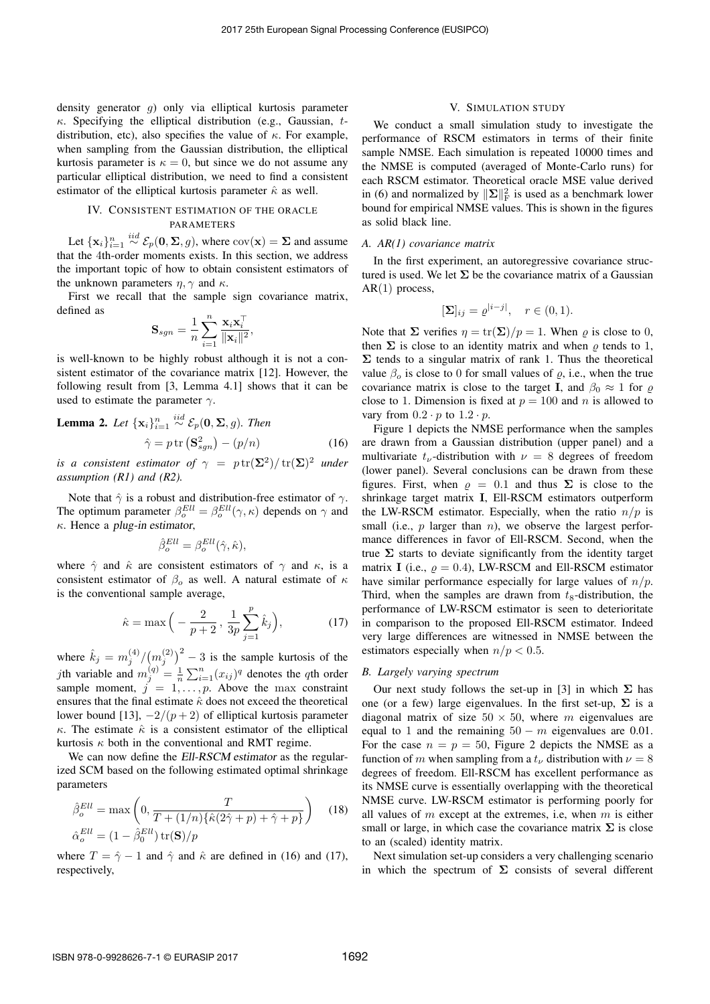density generator *g*) only via elliptical kurtosis parameter . Specifying the elliptical distribution (e.g., Gaussian, *t*distribution, etc), also specifies the value of  $\kappa$ . For example, when sampling from the Gaussian distribution, the elliptical kurtosis parameter is  $\kappa = 0$ , but since we do not assume any particular elliptical distribution, we need to find a consistent estimator of the elliptical kurtosis parameter  $\hat{\kappa}$  as well.

## IV. CONSISTENT ESTIMATION OF THE ORACLE PARAMETERS

Let  $\{\mathbf x_i\}_{i=1}^n$  $\overset{iid}{\sim} \mathcal{E}_p(\mathbf{0}, \mathbf{\Sigma}, g)$ , where  $\text{cov}(\mathbf{x}) = \mathbf{\Sigma}$  and assume that the 4th-order moments exists. In this section, we address the important topic of how to obtain consistent estimators of the unknown parameters  $\eta$ ,  $\gamma$  and  $\kappa$ .

First we recall that the sample sign covariance matrix, defined as

$$
\mathbf{S}_{sgn} = \frac{1}{n}\sum_{i=1}^n\frac{\mathbf{x}_i\mathbf{x}_i^\top}{\|\mathbf{x}_i\|^2},
$$

is well-known to be highly robust although it is not a consistent estimator of the covariance matrix [12]. However, the following result from [3, Lemma 4.1] shows that it can be used to estimate the parameter  $\gamma$ .

**Lemma 2.** Let 
$$
\{x_i\}_{i=1}^n \stackrel{iid}{\sim} \mathcal{E}_p(\mathbf{0}, \Sigma, g)
$$
. Then  
\n
$$
\hat{\gamma} = p \operatorname{tr} (\mathbf{S}_{sgn}^2) - (p/n) \tag{16}
$$

*is a consistent estimator of*  $\gamma = p \text{ tr}(\Sigma^2)/\text{ tr}(\Sigma)^2$  *under assumption (R1) and (R2).*

Note that  $\hat{\gamma}$  is a robust and distribution-free estimator of  $\gamma$ . The optimum parameter  $\beta_o^{Ell} = \beta_o^{Ell}(\gamma, \kappa)$  depends on  $\gamma$  and . Hence a *plug-in estimator*,

$$
\hat{\beta}_o^{Ell} = \beta_o^{Ell}(\hat{\gamma}, \hat{\kappa}),
$$

where  $\hat{\gamma}$  and  $\hat{\kappa}$  are consistent estimators of  $\gamma$  and  $\kappa$ , is a consistent estimator of  $\beta_o$  as well. A natural estimate of  $\kappa$ is the conventional sample average,

$$
\hat{\kappa} = \max\left(-\frac{2}{p+2}, \frac{1}{3p}\sum_{j=1}^{p} \hat{k}_j\right),
$$
\n(17)

where  $\hat{k}_j = m_j^{(4)}/(m_j^{(2)})^2 - 3$  is the sample kurtosis of the *j*th variable and  $m_j^{(q)} = \frac{1}{n} \sum_{i=1}^n (x_{ij})^q$  denotes the *q*th order sample moment,  $j = 1, \ldots, p$ . Above the max constraint ensures that the final estimate  $\hat{\kappa}$  does not exceed the theoretical lower bound [13],  $-2/(p+2)$  of elliptical kurtosis parameter  $\kappa$ . The estimate  $\hat{\kappa}$  is a consistent estimator of the elliptical kurtosis  $\kappa$  both in the conventional and RMT regime.

We can now define the *Ell-RSCM estimator* as the regularized SCM based on the following estimated optimal shrinkage parameters

$$
\hat{\beta}_{o}^{Ell} = \max\left(0, \frac{T}{T + (1/n)\{\hat{\kappa}(2\hat{\gamma} + p) + \hat{\gamma} + p\}}\right) \quad (18)
$$

$$
\hat{\alpha}_{o}^{Ell} = (1 - \hat{\beta}_{o}^{Ell}) \operatorname{tr}(\mathbf{S})/p
$$

where  $T = \hat{\gamma} - 1$  and  $\hat{\gamma}$  and  $\hat{\kappa}$  are defined in (16) and (17), respectively,

## V. SIMULATION STUDY

We conduct a small simulation study to investigate the performance of RSCM estimators in terms of their finite sample NMSE. Each simulation is repeated 10000 times and the NMSE is computed (averaged of Monte-Carlo runs) for each RSCM estimator. Theoretical oracle MSE value derived in (6) and normalized by  $\|\Sigma\|_{\mathrm{F}}^2$  is used as a benchmark lower bound for empirical NMSE values. This is shown in the figures as solid black line.

#### *A. AR(1) covariance matrix*

In the first experiment, an autoregressive covariance structured is used. We let  $\Sigma$  be the covariance matrix of a Gaussian AR(1) process,

$$
[\mathbf{\Sigma}]_{ij} = \varrho^{|i-j|}, \quad r \in (0,1).
$$

Note that  $\Sigma$  verifies  $\eta = \text{tr}(\Sigma)/p = 1$ . When  $\rho$  is close to 0, then  $\Sigma$  is close to an identity matrix and when  $\rho$  tends to 1,  $\Sigma$  tends to a singular matrix of rank 1. Thus the theoretical value  $\beta_0$  is close to 0 for small values of  $\rho$ , i.e., when the true covariance matrix is close to the target I, and  $\beta_0 \approx 1$  for  $\rho$ close to 1. Dimension is fixed at  $p = 100$  and *n* is allowed to vary from  $0.2 \cdot p$  to  $1.2 \cdot p$ .

Figure 1 depicts the NMSE performance when the samples are drawn from a Gaussian distribution (upper panel) and a multivariate  $t_{\nu}$ -distribution with  $\nu = 8$  degrees of freedom (lower panel). Several conclusions can be drawn from these figures. First, when  $\rho = 0.1$  and thus  $\Sigma$  is close to the shrinkage target matrix I, Ell-RSCM estimators outperform the LW-RSCM estimator. Especially, when the ratio  $n/p$  is small (i.e., *p* larger than *n*), we observe the largest performance differences in favor of Ell-RSCM. Second, when the true  $\Sigma$  starts to deviate significantly from the identity target matrix I (i.e.,  $\rho = 0.4$ ), LW-RSCM and Ell-RSCM estimator have similar performance especially for large values of *n/p*. Third, when the samples are drawn from  $t_8$ -distribution, the performance of LW-RSCM estimator is seen to deterioritate in comparison to the proposed Ell-RSCM estimator. Indeed very large differences are witnessed in NMSE between the estimators especially when  $n/p < 0.5$ .

## *B. Largely varying spectrum*

Our next study follows the set-up in [3] in which  $\Sigma$  has one (or a few) large eigenvalues. In the first set-up,  $\Sigma$  is a diagonal matrix of size  $50 \times 50$ , where *m* eigenvalues are equal to 1 and the remaining  $50 - m$  eigenvalues are 0.01. For the case  $n = p = 50$ , Figure 2 depicts the NMSE as a function of *m* when sampling from a  $t_{\nu}$  distribution with  $\nu = 8$ degrees of freedom. Ell-RSCM has excellent performance as its NMSE curve is essentially overlapping with the theoretical NMSE curve. LW-RSCM estimator is performing poorly for all values of *m* except at the extremes, i.e, when *m* is either small or large, in which case the covariance matrix  $\Sigma$  is close to an (scaled) identity matrix.

Next simulation set-up considers a very challenging scenario in which the spectrum of  $\Sigma$  consists of several different